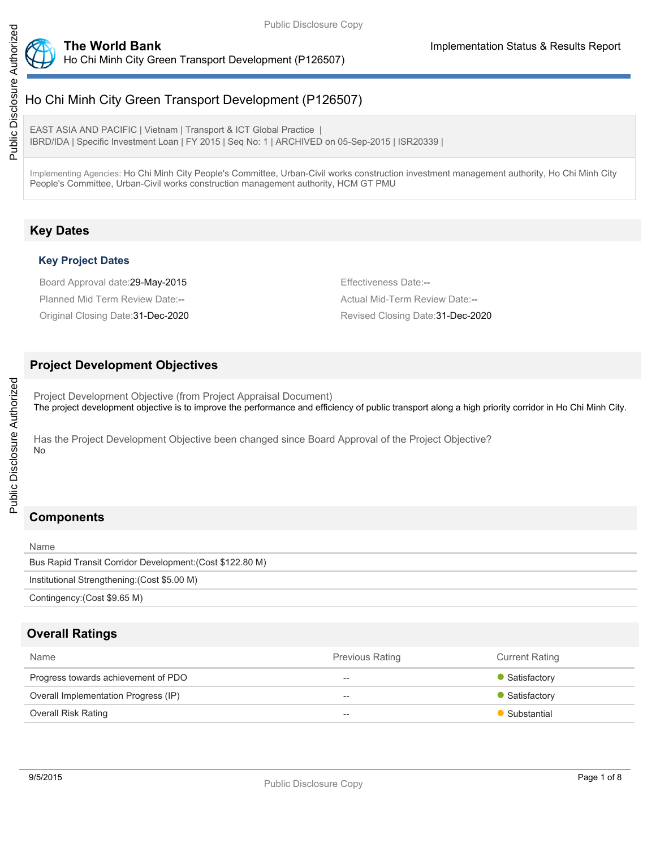

# Public Disclosure Authorized Public Disclosure Authorized

Ho Chi Minh City Green Transport Development (P126507)

EAST ASIA AND PACIFIC | Vietnam | Transport & ICT Global Practice | IBRD/IDA | Specific Investment Loan | FY 2015 | Seq No: 1 | ARCHIVED on 05-Sep-2015 | ISR20339 |

Implementing Agencies: Ho Chi Minh City People's Committee, Urban-Civil works construction investment management authority, Ho Chi Minh City People's Committee, Urban-Civil works construction management authority, HCM GT PMU

## **Key Dates**

## **Key Project Dates**

Board Approval date: 29-May-2015 **Effectiveness Date:--** Effectiveness Date:--Planned Mid Term Review Date:-- Actual Mid-Term Review Date:--Original Closing Date: 31-Dec-2020 **Revised Closing Date: 31-Dec-2020** Revised Closing Date: 31-Dec-2020

## **Project Development Objectives**

Project Development Objective (from Project Appraisal Document) The project development objective is to improve the performance and efficiency of public transport along a high priority corridor in Ho Chi Minh City.

Has the Project Development Objective been changed since Board Approval of the Project Objective? No

# **Components**

| Name                                                      |
|-----------------------------------------------------------|
| Bus Rapid Transit Corridor Development: (Cost \$122.80 M) |
| Institutional Strengthening: (Cost \$5.00 M)              |
| Contingency: (Cost \$9.65 M)                              |

## **Overall Ratings**

| Name                                 | <b>Previous Rating</b>             | <b>Current Rating</b> |
|--------------------------------------|------------------------------------|-----------------------|
| Progress towards achievement of PDO  | $- -$                              | • Satisfactory        |
| Overall Implementation Progress (IP) | $\overline{\phantom{m}}$           | • Satisfactory        |
| <b>Overall Risk Rating</b>           | $\hspace{0.05cm} -\hspace{0.05cm}$ | Substantial           |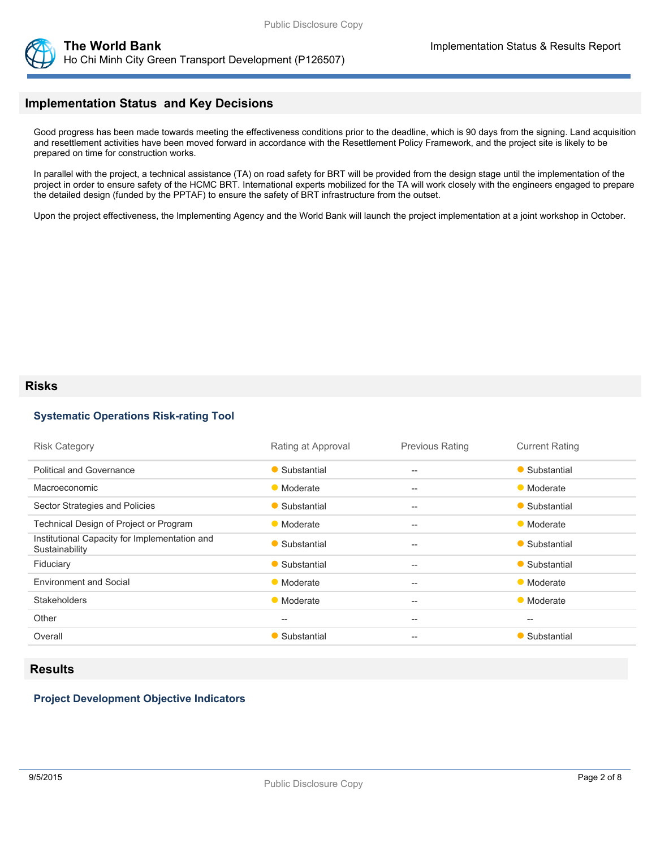

## **Implementation Status and Key Decisions**

Good progress has been made towards meeting the effectiveness conditions prior to the deadline, which is 90 days from the signing. Land acquisition and resettlement activities have been moved forward in accordance with the Resettlement Policy Framework, and the project site is likely to be prepared on time for construction works.

In parallel with the project, a technical assistance (TA) on road safety for BRT will be provided from the design stage until the implementation of the project in order to ensure safety of the HCMC BRT. International experts mobilized for the TA will work closely with the engineers engaged to prepare the detailed design (funded by the PPTAF) to ensure the safety of BRT infrastructure from the outset.

Upon the project effectiveness, the Implementing Agency and the World Bank will launch the project implementation at a joint workshop in October.

#### **Risks**

#### **Systematic Operations Risk-rating Tool**

| <b>Risk Category</b>                                            | Rating at Approval                                  | <b>Previous Rating</b>                              | <b>Current Rating</b> |
|-----------------------------------------------------------------|-----------------------------------------------------|-----------------------------------------------------|-----------------------|
| <b>Political and Governance</b>                                 | • Substantial                                       | $\overline{\phantom{a}}$                            | • Substantial         |
| Macroeconomic                                                   | • Moderate                                          | $-$                                                 | • Moderate            |
| Sector Strategies and Policies                                  | • Substantial                                       | $-$                                                 | • Substantial         |
| Technical Design of Project or Program                          | • Moderate                                          | $-$                                                 | • Moderate            |
| Institutional Capacity for Implementation and<br>Sustainability | • Substantial                                       | $-$                                                 | • Substantial         |
| Fiduciary                                                       | • Substantial                                       | $-$                                                 | • Substantial         |
| <b>Environment and Social</b>                                   | • Moderate                                          | $\hspace{0.05cm} -\hspace{0.05cm} -\hspace{0.05cm}$ | • Moderate            |
| <b>Stakeholders</b>                                             | • Moderate                                          | $-$                                                 | • Moderate            |
| Other                                                           | $\hspace{0.05cm} -\hspace{0.05cm} -\hspace{0.05cm}$ | $\hspace{0.05cm} -\hspace{0.05cm} -\hspace{0.05cm}$ | $-$                   |
| Overall                                                         | • Substantial                                       | $-$                                                 | • Substantial         |

## **Results**

#### **Project Development Objective Indicators**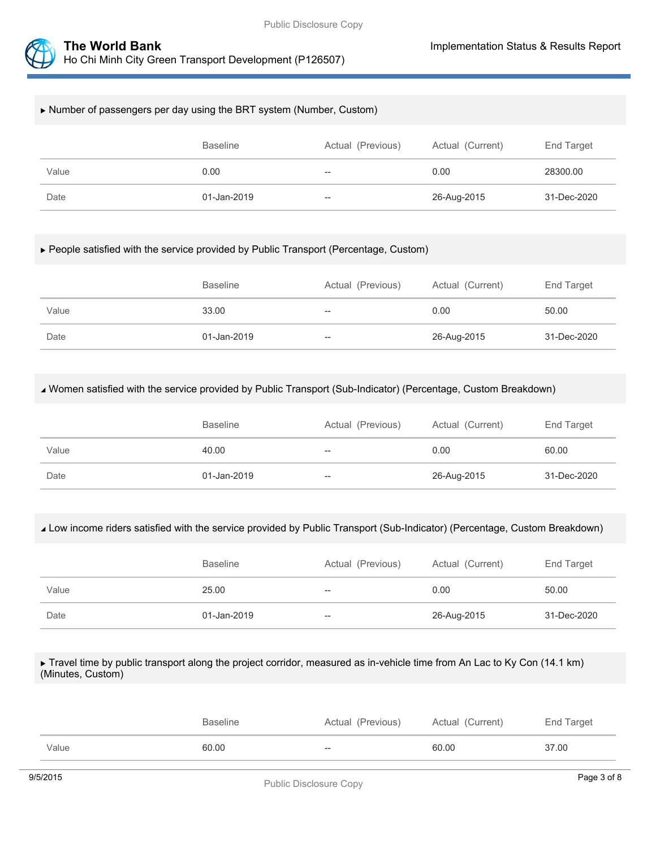

#### Number of passengers per day using the BRT system (Number, Custom)

|       | <b>Baseline</b> | Actual (Previous) | Actual (Current) | End Target  |
|-------|-----------------|-------------------|------------------|-------------|
| Value | 0.00            | $- -$             | 0.00             | 28300.00    |
| Date  | 01-Jan-2019     | $- -$             | 26-Aug-2015      | 31-Dec-2020 |

#### People satisfied with the service provided by Public Transport (Percentage, Custom)

|       | <b>Baseline</b> | Actual (Previous) | Actual (Current) | End Target  |
|-------|-----------------|-------------------|------------------|-------------|
| Value | 33.00           | $- -$             | 0.00             | 50.00       |
| Date  | 01-Jan-2019     | $- -$             | 26-Aug-2015      | 31-Dec-2020 |

#### Women satisfied with the service provided by Public Transport (Sub-Indicator) (Percentage, Custom Breakdown)

|       | <b>Baseline</b> | Actual (Previous) | Actual (Current) | End Target  |
|-------|-----------------|-------------------|------------------|-------------|
| Value | 40.00           | $- -$             | 0.00             | 60.00       |
| Date  | 01-Jan-2019     | $- -$             | 26-Aug-2015      | 31-Dec-2020 |

#### Low income riders satisfied with the service provided by Public Transport (Sub-Indicator) (Percentage, Custom Breakdown)

|       | <b>Baseline</b> | Actual (Previous) | Actual (Current) | End Target  |
|-------|-----------------|-------------------|------------------|-------------|
| Value | 25.00           | $- -$             | 0.00             | 50.00       |
| Date  | 01-Jan-2019     | $- -$             | 26-Aug-2015      | 31-Dec-2020 |

#### ► Travel time by public transport along the project corridor, measured as in-vehicle time from An Lac to Ky Con (14.1 km) (Minutes, Custom)

|       | Baseline | Actual (Previous)        | Actual (Current) | End Target |
|-------|----------|--------------------------|------------------|------------|
| Value | 60.00    | $\overline{\phantom{a}}$ | 60.00            | 37.00      |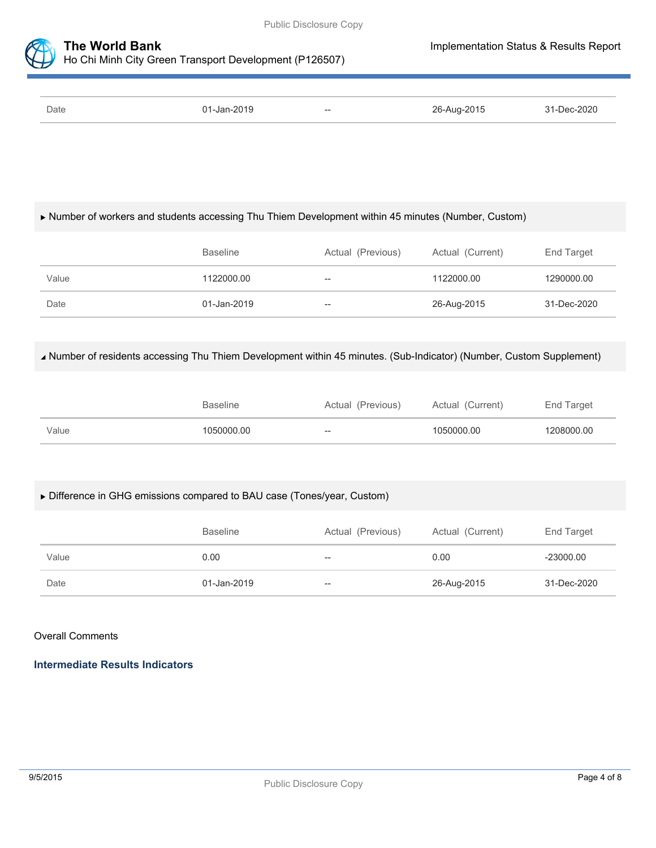

| Date | 01-Jan-2019 | $\hspace{0.1mm}-\hspace{0.1mm}-\hspace{0.1mm}$ | 26-Aug-2015 | 31-Dec-2020 |
|------|-------------|------------------------------------------------|-------------|-------------|

## Number of workers and students accessing Thu Thiem Development within 45 minutes (Number, Custom)

|       | <b>Baseline</b> | Actual (Previous) | Actual (Current) | End Target  |
|-------|-----------------|-------------------|------------------|-------------|
| Value | 1122000.00      | --                | 1122000.00       | 1290000.00  |
| Date  | 01-Jan-2019     | --                | 26-Aug-2015      | 31-Dec-2020 |

## Number of residents accessing Thu Thiem Development within 45 minutes. (Sub-Indicator) (Number, Custom Supplement)

|       | Baseline   | Actual (Previous) | Actual (Current) | End Target |
|-------|------------|-------------------|------------------|------------|
| Value | 1050000.00 | $- -$             | 1050000.00       | 1208000.00 |

## Difference in GHG emissions compared to BAU case (Tones/year, Custom)

|       | <b>Baseline</b> | Actual (Previous) | Actual (Current) | End Target  |
|-------|-----------------|-------------------|------------------|-------------|
| Value | 0.00            | --                | 0.00             | $-23000.00$ |
| Date  | 01-Jan-2019     | --                | 26-Aug-2015      | 31-Dec-2020 |

## Overall Comments

**Intermediate Results Indicators**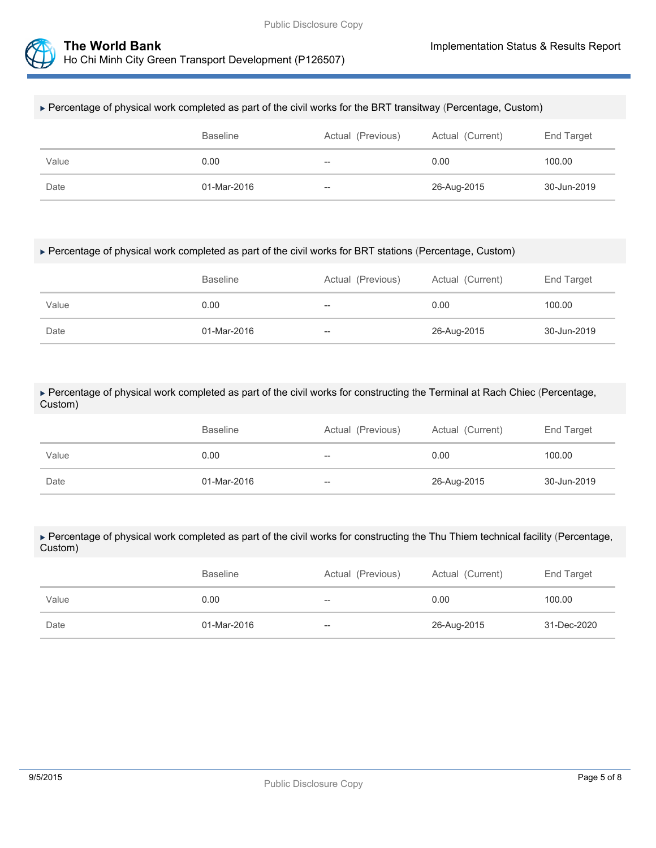



#### Percentage of physical work completed as part of the civil works for the BRT transitway (Percentage, Custom)

|       | <b>Baseline</b> | Actual (Previous) | Actual (Current) | End Target  |
|-------|-----------------|-------------------|------------------|-------------|
| Value | 0.00            | $- -$             | 0.00             | 100.00      |
| Date  | 01-Mar-2016     | $\hspace{0.05cm}$ | 26-Aug-2015      | 30-Jun-2019 |

#### Percentage of physical work completed as part of the civil works for BRT stations (Percentage, Custom)

|       | <b>Baseline</b> | Actual (Previous) | Actual (Current) | End Target  |
|-------|-----------------|-------------------|------------------|-------------|
| Value | 0.00            | $\qquad \qquad -$ | 0.00             | 100.00      |
| Date  | 01-Mar-2016     | $-$               | 26-Aug-2015      | 30-Jun-2019 |

#### Percentage of physical work completed as part of the civil works for constructing the Terminal at Rach Chiec (Percentage, Custom)

|       | <b>Baseline</b> | Actual (Previous) | Actual (Current) | End Target  |
|-------|-----------------|-------------------|------------------|-------------|
| Value | 0.00            | --                | 0.00             | 100.00      |
| Date  | 01-Mar-2016     | $-\!$             | 26-Aug-2015      | 30-Jun-2019 |

#### Percentage of physical work completed as part of the civil works for constructing the Thu Thiem technical facility (Percentage, Custom)

|       | <b>Baseline</b> | Actual (Previous) | Actual (Current) | End Target  |
|-------|-----------------|-------------------|------------------|-------------|
| Value | 0.00            | --                | 0.00             | 100.00      |
| Date  | 01-Mar-2016     | --                | 26-Aug-2015      | 31-Dec-2020 |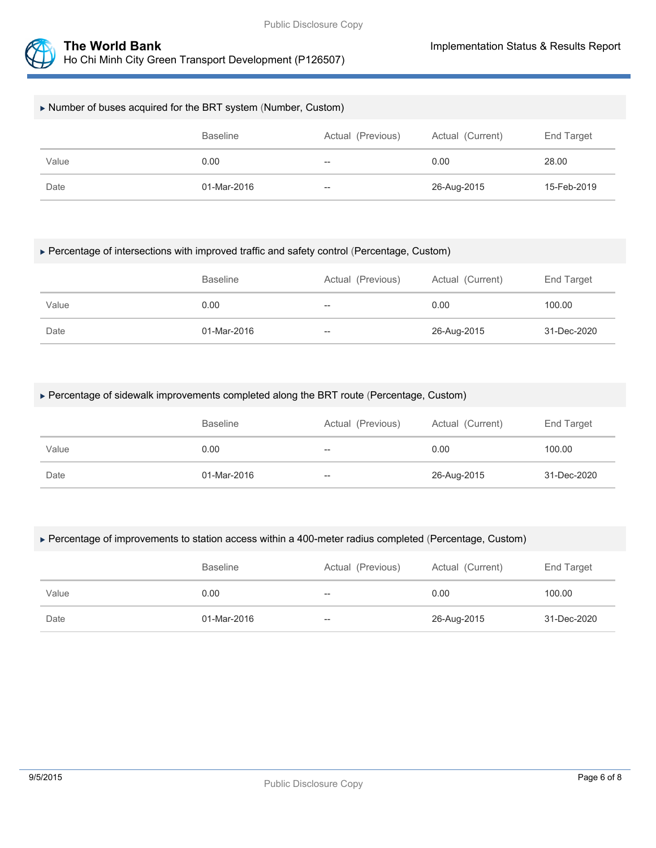

### Number of buses acquired for the BRT system (Number, Custom)

|       | <b>Baseline</b> | Actual (Previous) | Actual (Current) | End Target  |
|-------|-----------------|-------------------|------------------|-------------|
| Value | 0.00            | $- -$             | 0.00             | 28.00       |
| Date  | 01-Mar-2016     | $- -$             | 26-Aug-2015      | 15-Feb-2019 |

#### Percentage of intersections with improved traffic and safety control (Percentage, Custom)

|       | <b>Baseline</b> | Actual (Previous) | Actual (Current) | End Target  |
|-------|-----------------|-------------------|------------------|-------------|
| Value | 0.00            | $- -$             | 0.00             | 100.00      |
| Date  | 01-Mar-2016     | $- -$             | 26-Aug-2015      | 31-Dec-2020 |

#### Percentage of sidewalk improvements completed along the BRT route (Percentage, Custom)

|       | <b>Baseline</b> | Actual (Previous) | Actual (Current) | End Target  |
|-------|-----------------|-------------------|------------------|-------------|
| Value | 0.00            | $-\!$             | 0.00             | 100.00      |
| Date  | 01-Mar-2016     | $-\!$             | 26-Aug-2015      | 31-Dec-2020 |

#### Percentage of improvements to station access within a 400-meter radius completed (Percentage, Custom)

|       | <b>Baseline</b> | Actual (Previous) | Actual (Current) | End Target  |
|-------|-----------------|-------------------|------------------|-------------|
| Value | 0.00            | $\hspace{0.05cm}$ | 0.00             | 100.00      |
| Date  | 01-Mar-2016     | $-$               | 26-Aug-2015      | 31-Dec-2020 |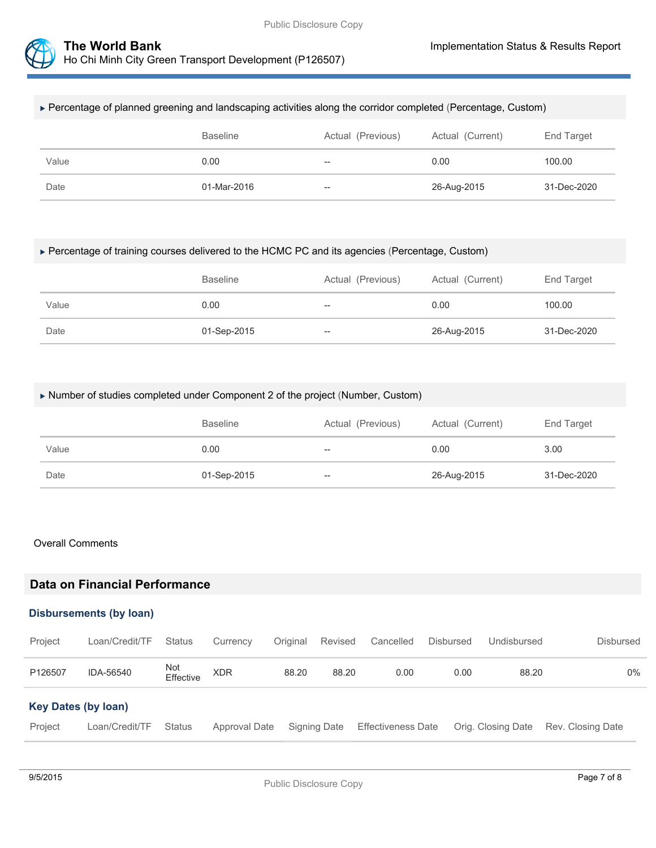



#### Percentage of planned greening and landscaping activities along the corridor completed (Percentage, Custom)

|       | <b>Baseline</b> | Actual (Previous)        | Actual (Current) | End Target  |
|-------|-----------------|--------------------------|------------------|-------------|
| Value | 0.00            | $\overline{\phantom{m}}$ | 0.00             | 100.00      |
| Date  | 01-Mar-2016     | $\overline{\phantom{m}}$ | 26-Aug-2015      | 31-Dec-2020 |

#### Percentage of training courses delivered to the HCMC PC and its agencies (Percentage, Custom)

|       | <b>Baseline</b> | Actual (Previous) | Actual (Current) | End Target  |
|-------|-----------------|-------------------|------------------|-------------|
| Value | 0.00            | $- -$             | 0.00             | 100.00      |
| Date  | 01-Sep-2015     | $-\!$             | 26-Aug-2015      | 31-Dec-2020 |

#### Number of studies completed under Component 2 of the project (Number, Custom)

|       | <b>Baseline</b> | Actual (Previous) | Actual (Current) | End Target  |
|-------|-----------------|-------------------|------------------|-------------|
| Value | 0.00            | $-\!$             | 0.00             | 3.00        |
| Date  | 01-Sep-2015     | $-\!$             | 26-Aug-2015      | 31-Dec-2020 |

#### Overall Comments

## **Data on Financial Performance**

#### **Disbursements (by loan)**

| Project                    | Loan/Credit/TF | <b>Status</b>    | Currency      | Original | Revised      | Cancelled                 | Disbursed | Undisbursed        | <b>Disbursed</b>  |
|----------------------------|----------------|------------------|---------------|----------|--------------|---------------------------|-----------|--------------------|-------------------|
| P126507                    | IDA-56540      | Not<br>Effective | <b>XDR</b>    | 88.20    | 88.20        | 0.00                      | 0.00      | 88.20              | 0%                |
| <b>Key Dates (by loan)</b> |                |                  |               |          |              |                           |           |                    |                   |
| Project                    | Loan/Credit/TF | <b>Status</b>    | Approval Date |          | Signing Date | <b>Effectiveness Date</b> |           | Orig. Closing Date | Rev. Closing Date |